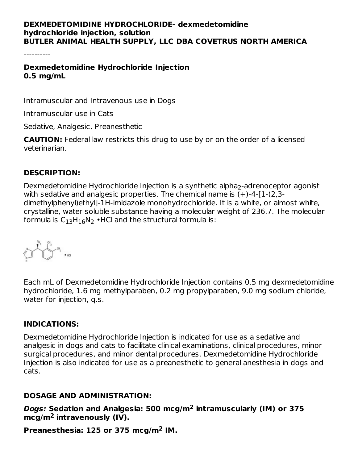### **DEXMEDETOMIDINE HYDROCHLORIDE- dexmedetomidine hydrochloride injection, solution BUTLER ANIMAL HEALTH SUPPLY, LLC DBA COVETRUS NORTH AMERICA**

----------

### **Dexmedetomidine Hydrochloride Injection 0.5 mg/mL**

Intramuscular and Intravenous use in Dogs

Intramuscular use in Cats

Sedative, Analgesic, Preanesthetic

**CAUTION:** Federal law restricts this drug to use by or on the order of a licensed veterinarian.

## **DESCRIPTION:**

Dexmedetomidine Hydrochloride Injection is a synthetic alpha<sub>2</sub>-adrenoceptor agonist with sedative and analgesic properties. The chemical name is  $(+)$ -4- $[1-(2,3-1)]$ dimethylphenyl)ethyl]-1H-imidazole monohydrochloride. It is a white, or almost white, crystalline, water soluble substance having a molecular weight of 236.7. The molecular formula is  $\mathsf{C}_{13}\mathsf{H}_{16}\mathsf{N}_2$  •HCl and the structural formula is:



Each mL of Dexmedetomidine Hydrochloride Injection contains 0.5 mg dexmedetomidine hydrochloride, 1.6 mg methylparaben, 0.2 mg propylparaben, 9.0 mg sodium chloride, water for injection, q.s.

### **INDICATIONS:**

Dexmedetomidine Hydrochloride Injection is indicated for use as a sedative and analgesic in dogs and cats to facilitate clinical examinations, clinical procedures, minor surgical procedures, and minor dental procedures. Dexmedetomidine Hydrochloride Injection is also indicated for use as a preanesthetic to general anesthesia in dogs and cats.

### **DOSAGE AND ADMINISTRATION:**

**Dogs: Sedation and Analgesia: 500 mcg/m intramuscularly (IM) or 375 2** mcg/m<sup>2</sup> intravenously (IV).

**Preanesthesia: 125 or 375 mcg/m IM. 2**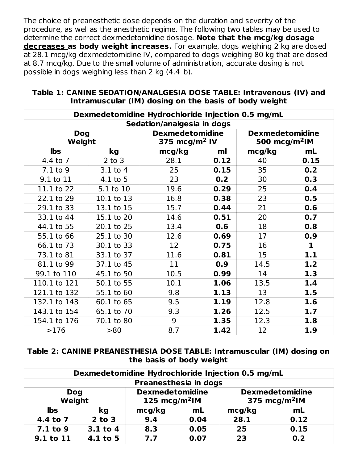The choice of preanesthetic dose depends on the duration and severity of the procedure, as well as the anesthetic regime. The following two tables may be used to determine the correct dexmedetomidine dosage. **Note that the mcg/kg dosage decreases as body weight increases.** For example, dogs weighing 2 kg are dosed at 28.1 mcg/kg dexmedetomidine IV, compared to dogs weighing 80 kg that are dosed at 8.7 mcg/kg. Due to the small volume of administration, accurate dosing is not possible in dogs weighing less than 2 kg (4.4 lb).

|                      |            | Dexmedetomidine Hydrochloride Injection 0.5 mg/mL   |      |                                                     |             |
|----------------------|------------|-----------------------------------------------------|------|-----------------------------------------------------|-------------|
|                      |            | Sedation/analgesia in dogs                          |      |                                                     |             |
| <b>Dog</b><br>Weight |            | <b>Dexmedetomidine</b><br>375 mcg/m <sup>2</sup> IV |      | <b>Dexmedetomidine</b><br>500 mcg/m <sup>2</sup> lM |             |
| <b>lbs</b>           | kg         | mcg/kg                                              | ml   | mcg/kg                                              | mL          |
| 4.4 to 7             | $2$ to $3$ | 28.1                                                | 0.12 | 40                                                  | 0.15        |
| 7.1 to 9             | $3.1$ to 4 | 25                                                  | 0.15 | 35                                                  | 0.2         |
| 9.1 to 11            | 4.1 to 5   | 23                                                  | 0.2  | 30                                                  | 0.3         |
| 11.1 to 22           | 5.1 to 10  | 19.6                                                | 0.29 | 25                                                  | 0.4         |
| 22.1 to 29           | 10.1 to 13 | 16.8                                                | 0.38 | 23                                                  | 0.5         |
| 29.1 to 33           | 13.1 to 15 | 15.7                                                | 0.44 | 21                                                  | 0.6         |
| 33.1 to 44           | 15.1 to 20 | 14.6                                                | 0.51 | 20                                                  | 0.7         |
| 44.1 to 55           | 20.1 to 25 | 13.4                                                | 0.6  | 18                                                  | 0.8         |
| 55.1 to 66           | 25.1 to 30 | 12.6                                                | 0.69 | 17                                                  | 0.9         |
| 66.1 to 73           | 30.1 to 33 | 12                                                  | 0.75 | 16                                                  | $\mathbf 1$ |
| 73.1 to 81           | 33.1 to 37 | 11.6                                                | 0.81 | 15                                                  | 1.1         |
| 81.1 to 99           | 37.1 to 45 | 11                                                  | 0.9  | 14.5                                                | 1.2         |
| 99.1 to 110          | 45.1 to 50 | 10.5                                                | 0.99 | 14                                                  | 1.3         |
| 110.1 to 121         | 50.1 to 55 | 10.1                                                | 1.06 | 13.5                                                | 1.4         |
| 121.1 to 132         | 55.1 to 60 | 9.8                                                 | 1.13 | 13                                                  | 1.5         |
| 132.1 to 143         | 60.1 to 65 | 9.5                                                 | 1.19 | 12.8                                                | 1.6         |
| 143.1 to 154         | 65.1 to 70 | 9.3                                                 | 1.26 | 12.5                                                | 1.7         |
| 154.1 to 176         | 70.1 to 80 | 9                                                   | 1.35 | 12.3                                                | 1.8         |
| >176                 | >80        | 8.7                                                 | 1.42 | 12                                                  | 1.9         |

#### **Table 1: CANINE SEDATION/ANALGESIA DOSE TABLE: Intravenous (IV) and Intramuscular (IM) dosing on the basis of body weight**

**Table 2: CANINE PREANESTHESIA DOSE TABLE: Intramuscular (IM) dosing on the basis of body weight**

|                                                                             | Dexmedetomidine Hydrochloride Injection 0.5 mg/mL |                       |      |      |                                                     |  |
|-----------------------------------------------------------------------------|---------------------------------------------------|-----------------------|------|------|-----------------------------------------------------|--|
|                                                                             |                                                   | Preanesthesia in dogs |      |      |                                                     |  |
| <b>Dexmedetomidine</b><br><b>Dog</b><br>125 mcg/m <sup>2</sup> lM<br>Weight |                                                   |                       |      |      | <b>Dexmedetomidine</b><br>375 mcg/m <sup>2</sup> lM |  |
| lbs                                                                         | kg                                                | mcg/kg                | mL   |      | mL                                                  |  |
| 4.4 to 7                                                                    | $2$ to $3$                                        | 9.4                   | 0.04 | 28.1 | 0.12                                                |  |
| 7.1 to 9                                                                    | 3.1 to 4                                          | 8.3                   | 0.05 | 25   | 0.15                                                |  |
| 9.1 to 11                                                                   | $4.1$ to 5                                        | 7.7                   | 0.07 | 23   | 0.2                                                 |  |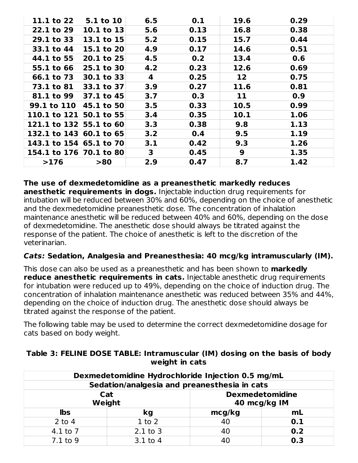| 11.1 to 22              | <b>5.1 to 10</b> | 6.5          | 0.1  | 19.6            | 0.29 |
|-------------------------|------------------|--------------|------|-----------------|------|
| 22.1 to 29              | 10.1 to $13$     | 5.6          | 0.13 | 16.8            | 0.38 |
| 29.1 to 33              | 13.1 to $15$     | 5.2          | 0.15 | 15.7            | 0.44 |
| 33.1 to 44              | 15.1 to $20$     | 4.9          | 0.17 | 14.6            | 0.51 |
| 44.1 to 55              | $20.1$ to 25     | 4.5          | 0.2  | 13.4            | 0.6  |
| 55.1 to 66              | $25.1$ to 30     | 4.2          | 0.23 | 12.6            | 0.69 |
| 66.1 to 73              | $30.1$ to 33     | 4            | 0.25 | 12 <sup>2</sup> | 0.75 |
| <b>73.1 to 81</b>       | 33.1 to $37$     | 3.9          | 0.27 | 11.6            | 0.81 |
| <b>81.1 to 99</b>       | $37.1$ to 45     | 3.7          | 0.3  | 11              | 0.9  |
| 99.1 to 110 45.1 to 50  |                  | 3.5          | 0.33 | 10.5            | 0.99 |
| 110.1 to 121 50.1 to 55 |                  | 3.4          | 0.35 | 10.1            | 1.06 |
| 121.1 to 132 55.1 to 60 |                  | 3.3          | 0.38 | 9.8             | 1.13 |
| 132.1 to 143 60.1 to 65 |                  | 3.2          | 0.4  | 9.5             | 1.19 |
| 143.1 to 154 65.1 to 70 |                  | 3.1          | 0.42 | 9.3             | 1.26 |
| 154.1 to 176 70.1 to 80 |                  | $\mathbf{3}$ | 0.45 | 9               | 1.35 |
| >176                    | >80              | 2.9          | 0.47 | 8.7             | 1.42 |

#### **The use of dexmedetomidine as a preanesthetic markedly reduces**

**anesthetic requirements in dogs.** Injectable induction drug requirements for intubation will be reduced between 30% and 60%, depending on the choice of anesthetic and the dexmedetomidine preanesthetic dose. The concentration of inhalation maintenance anesthetic will be reduced between 40% and 60%, depending on the dose of dexmedetomidine. The anesthetic dose should always be titrated against the response of the patient. The choice of anesthetic is left to the discretion of the veterinarian.

#### **Cats: Sedation, Analgesia and Preanesthesia: 40 mcg/kg intramuscularly (IM).**

This dose can also be used as a preanesthetic and has been shown to **markedly reduce anesthetic requirements in cats.** Injectable anesthetic drug requirements for intubation were reduced up to 49%, depending on the choice of induction drug. The concentration of inhalation maintenance anesthetic was reduced between 35% and 44%, depending on the choice of induction drug. The anesthetic dose should always be titrated against the response of the patient.

The following table may be used to determine the correct dexmedetomidine dosage for cats based on body weight.

| Dexmedetomidine Hydrochloride Injection 0.5 mg/mL |                                              |              |     |  |  |
|---------------------------------------------------|----------------------------------------------|--------------|-----|--|--|
|                                                   | Sedation/analgesia and preanesthesia in cats |              |     |  |  |
| <b>Dexmedetomidine</b><br>Cat                     |                                              |              |     |  |  |
|                                                   | Weight                                       | 40 mcg/kg IM |     |  |  |
| <b>lbs</b>                                        | kg                                           | mcg/kg       | mL  |  |  |
| $2$ to $4$                                        | $1$ to $2$                                   | 40           | 0.1 |  |  |
| $4.1$ to $7$                                      | $2.1$ to $3$                                 | 40           | 0.2 |  |  |
| $7.1$ to 9                                        | $3.1$ to $4$                                 | 40           | 0.3 |  |  |

#### **Table 3: FELINE DOSE TABLE: Intramuscular (IM) dosing on the basis of body weight in cats**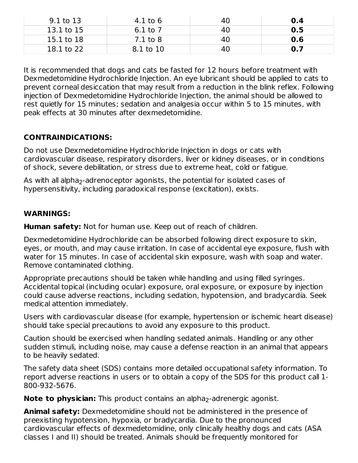| 9.1 to 13  | 4.1 to 6     | 40 | 0.4 |
|------------|--------------|----|-----|
| 13.1 to 15 | 6.1 to 7     | 40 | 0.5 |
| 15.1 to 18 | $7.1$ to $8$ | 40 | 0.6 |
| 18.1 to 22 | 8.1 to 10    | 40 | 0.7 |

It is recommended that dogs and cats be fasted for 12 hours before treatment with Dexmedetomidine Hydrochloride Injection. An eye lubricant should be applied to cats to prevent corneal desiccation that may result from a reduction in the blink reflex. Following injection of Dexmedetomidine Hydrochloride Injection, the animal should be allowed to rest quietly for 15 minutes; sedation and analgesia occur within 5 to 15 minutes, with peak effects at 30 minutes after dexmedetomidine.

## **CONTRAINDICATIONS:**

Do not use Dexmedetomidine Hydrochloride Injection in dogs or cats with cardiovascular disease, respiratory disorders, liver or kidney diseases, or in conditions of shock, severe debilitation, or stress due to extreme heat, cold or fatigue.

As with all alpha $_2$ -adrenoceptor agonists, the potential for isolated cases of hypersensitivity, including paradoxical response (excitation), exists.

## **WARNINGS:**

**Human safety:** Not for human use. Keep out of reach of children.

Dexmedetomidine Hydrochloride can be absorbed following direct exposure to skin, eyes, or mouth, and may cause irritation. In case of accidental eye exposure, flush with water for 15 minutes. In case of accidental skin exposure, wash with soap and water. Remove contaminated clothing.

Appropriate precautions should be taken while handling and using filled syringes. Accidental topical (including ocular) exposure, oral exposure, or exposure by injection could cause adverse reactions, including sedation, hypotension, and bradycardia. Seek medical attention immediately.

Users with cardiovascular disease (for example, hypertension or ischemic heart disease) should take special precautions to avoid any exposure to this product.

Caution should be exercised when handling sedated animals. Handling or any other sudden stimuli, including noise, may cause a defense reaction in an animal that appears to be heavily sedated.

The safety data sheet (SDS) contains more detailed occupational safety information. To report adverse reactions in users or to obtain a copy of the SDS for this product call 1- 800-932-5676.

**Note to physician:** This product contains an alpha<sub>2</sub>-adrenergic agonist.

**Animal safety:** Dexmedetomidine should not be administered in the presence of preexisting hypotension, hypoxia, or bradycardia. Due to the pronounced cardiovascular effects of dexmedetomidine, only clinically healthy dogs and cats (ASA classes I and II) should be treated. Animals should be frequently monitored for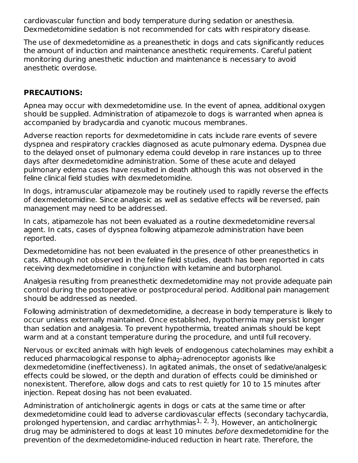cardiovascular function and body temperature during sedation or anesthesia. Dexmedetomidine sedation is not recommended for cats with respiratory disease.

The use of dexmedetomidine as a preanesthetic in dogs and cats significantly reduces the amount of induction and maintenance anesthetic requirements. Careful patient monitoring during anesthetic induction and maintenance is necessary to avoid anesthetic overdose.

## **PRECAUTIONS:**

Apnea may occur with dexmedetomidine use. In the event of apnea, additional oxygen should be supplied. Administration of atipamezole to dogs is warranted when apnea is accompanied by bradycardia and cyanotic mucous membranes.

Adverse reaction reports for dexmedetomidine in cats include rare events of severe dyspnea and respiratory crackles diagnosed as acute pulmonary edema. Dyspnea due to the delayed onset of pulmonary edema could develop in rare instances up to three days after dexmedetomidine administration. Some of these acute and delayed pulmonary edema cases have resulted in death although this was not observed in the feline clinical field studies with dexmedetomidine.

In dogs, intramuscular atipamezole may be routinely used to rapidly reverse the effects of dexmedetomidine. Since analgesic as well as sedative effects will be reversed, pain management may need to be addressed.

In cats, atipamezole has not been evaluated as a routine dexmedetomidine reversal agent. In cats, cases of dyspnea following atipamezole administration have been reported.

Dexmedetomidine has not been evaluated in the presence of other preanesthetics in cats. Although not observed in the feline field studies, death has been reported in cats receiving dexmedetomidine in conjunction with ketamine and butorphanol.

Analgesia resulting from preanesthetic dexmedetomidine may not provide adequate pain control during the postoperative or postprocedural period. Additional pain management should be addressed as needed.

Following administration of dexmedetomidine, a decrease in body temperature is likely to occur unless externally maintained. Once established, hypothermia may persist longer than sedation and analgesia. To prevent hypothermia, treated animals should be kept warm and at a constant temperature during the procedure, and until full recovery.

Nervous or excited animals with high levels of endogenous catecholamines may exhibit a reduced pharmacological response to alpha<sub>2</sub>-adrenoceptor agonists like dexmedetomidine (ineffectiveness). In agitated animals, the onset of sedative/analgesic effects could be slowed, or the depth and duration of effects could be diminished or nonexistent. Therefore, allow dogs and cats to rest quietly for 10 to 15 minutes after injection. Repeat dosing has not been evaluated.

Administration of anticholinergic agents in dogs or cats at the same time or after dexmedetomidine could lead to adverse cardiovascular effects (secondary tachycardia, prolonged hypertension, and cardiac arrhythmias<sup>1, 2, 3</sup>). However, an anticholinergic drug may be administered to dogs at least 10 minutes before dexmedetomidine for the prevention of the dexmedetomidine-induced reduction in heart rate. Therefore, the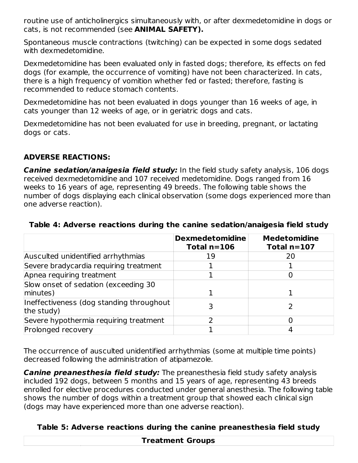routine use of anticholinergics simultaneously with, or after dexmedetomidine in dogs or cats, is not recommended (see **ANIMAL SAFETY).**

Spontaneous muscle contractions (twitching) can be expected in some dogs sedated with dexmedetomidine.

Dexmedetomidine has been evaluated only in fasted dogs; therefore, its effects on fed dogs (for example, the occurrence of vomiting) have not been characterized. In cats, there is a high frequency of vomition whether fed or fasted; therefore, fasting is recommended to reduce stomach contents.

Dexmedetomidine has not been evaluated in dogs younger than 16 weeks of age, in cats younger than 12 weeks of age, or in geriatric dogs and cats.

Dexmedetomidine has not been evaluated for use in breeding, pregnant, or lactating dogs or cats.

# **ADVERSE REACTIONS:**

**Canine sedation/anaigesia field study:** In the field study safety analysis, 106 dogs received dexmedetomidine and 107 received medetomidine. Dogs ranged from 16 weeks to 16 years of age, representing 49 breeds. The following table shows the number of dogs displaying each clinical observation (some dogs experienced more than one adverse reaction).

|                                                        | <b>Dexmedetomidine</b><br>Total $n=106$ | <b>Medetomidine</b><br>Total $n=107$ |
|--------------------------------------------------------|-----------------------------------------|--------------------------------------|
| Ausculted unidentified arrhythmias                     | 19                                      | 20                                   |
| Severe bradycardia requiring treatment                 |                                         |                                      |
| Apnea requiring treatment                              |                                         |                                      |
| Slow onset of sedation (exceeding 30<br>minutes)       |                                         |                                      |
| Ineffectiveness (dog standing throughout<br>the study) |                                         |                                      |
| Severe hypothermia requiring treatment                 |                                         |                                      |
| Prolonged recovery                                     |                                         |                                      |

#### **Table 4: Adverse reactions during the canine sedation/anaigesia field study**

The occurrence of ausculted unidentified arrhythmias (some at multiple time points) decreased following the administration of atipamezole.

**Canine preanesthesia field study:** The preanesthesia field study safety analysis included 192 dogs, between 5 months and 15 years of age, representing 43 breeds enrolled for elective procedures conducted under general anesthesia. The following table shows the number of dogs within a treatment group that showed each clinical sign (dogs may have experienced more than one adverse reaction).

## **Table 5: Adverse reactions during the canine preanesthesia field study**

**Treatment Groups**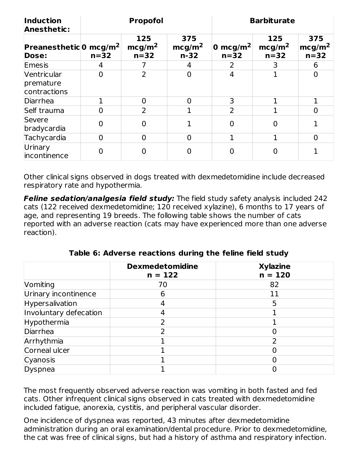| <b>Induction</b><br><b>Anesthetic:</b>             |                | <b>Propofol</b>                     |                                     | <b>Barbiturate</b>             |                                     |                                     |  |
|----------------------------------------------------|----------------|-------------------------------------|-------------------------------------|--------------------------------|-------------------------------------|-------------------------------------|--|
| <b>Preanesthetic</b> 0 mcg/m <sup>2</sup><br>Dose: | $n=32$         | 125<br>mcg/m <sup>2</sup><br>$n=32$ | 375<br>mcg/m <sup>2</sup><br>$n-32$ | 0 mcg/m <sup>2</sup><br>$n=32$ | 125<br>mcg/m <sup>2</sup><br>$n=32$ | 375<br>mcg/m <sup>2</sup><br>$n=32$ |  |
| Emesis                                             | 4              |                                     | 4                                   |                                | 3                                   | 6                                   |  |
| Ventricular<br>premature<br>contractions           | $\overline{0}$ | $\overline{2}$                      | $\overline{0}$                      | 4                              |                                     | $\overline{0}$                      |  |
| Diarrhea                                           |                | $\Omega$                            | $\Omega$                            | 3                              |                                     |                                     |  |
| Self trauma                                        | $\overline{0}$ | 2                                   |                                     | $\overline{2}$                 |                                     | $\overline{0}$                      |  |
| Severe<br>bradycardia                              | $\overline{0}$ | 0                                   |                                     | 0                              | 0                                   |                                     |  |
| Tachycardia                                        | $\overline{0}$ | $\Omega$                            | $\overline{0}$                      |                                | 1                                   | $\overline{0}$                      |  |
| Urinary<br>incontinence                            | $\overline{0}$ |                                     | 0                                   | 0                              |                                     |                                     |  |

Other clinical signs observed in dogs treated with dexmedetomidine include decreased respiratory rate and hypothermia.

**Feline sedation/analgesia field study:** The field study safety analysis included 242 cats (122 received dexmedetomidine; 120 received xylazine), 6 months to 17 years of age, and representing 19 breeds. The following table shows the number of cats reported with an adverse reaction (cats may have experienced more than one adverse reaction).

**Table 6: Adverse reactions during the feline field study**

|                        | <b>Dexmedetomidine</b><br>$n = 122$ | <b>Xylazine</b><br>$n = 120$ |
|------------------------|-------------------------------------|------------------------------|
| Vomiting               | 70                                  | 82                           |
| Urinary incontinence   | 6                                   | 11                           |
| Hypersalivation        |                                     |                              |
| Involuntary defecation |                                     |                              |
| Hypothermia            |                                     |                              |
| Diarrhea               |                                     |                              |
| Arrhythmia             |                                     |                              |
| Corneal ulcer          |                                     |                              |
| Cyanosis               |                                     |                              |
| Dyspnea                |                                     |                              |

The most frequently observed adverse reaction was vomiting in both fasted and fed cats. Other infrequent clinical signs observed in cats treated with dexmedetomidine included fatigue, anorexia, cystitis, and peripheral vascular disorder.

One incidence of dyspnea was reported, 43 minutes after dexmedetomidine administration during an oral examination/dental procedure. Prior to dexmedetomidine, the cat was free of clinical signs, but had a history of asthma and respiratory infection.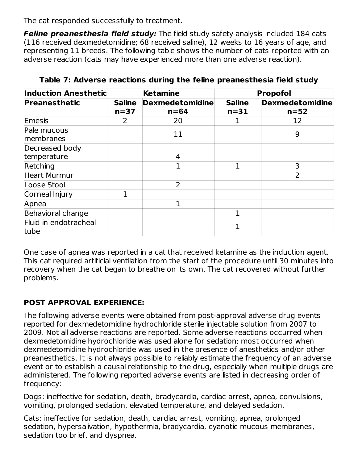The cat responded successfully to treatment.

**Feline preanesthesia field study:** The field study safety analysis included 184 cats (116 received dexmedetomidine; 68 received saline), 12 weeks to 16 years of age, and representing 11 breeds. The following table shows the number of cats reported with an adverse reaction (cats may have experienced more than one adverse reaction).

| <b>Induction Anesthetic</b>   |                         | <b>Ketamine</b>                    | <b>Propofol</b>         |                                  |  |
|-------------------------------|-------------------------|------------------------------------|-------------------------|----------------------------------|--|
| Preanesthetic                 | <b>Saline</b><br>$n=37$ | <b>Dexmedetomidine</b><br>$n = 64$ | <b>Saline</b><br>$n=31$ | <b>Dexmedetomidine</b><br>$n=52$ |  |
| Emesis                        | 2                       | 20                                 |                         | 12                               |  |
| Pale mucous<br>membranes      |                         | 11                                 |                         | 9                                |  |
| Decreased body                |                         |                                    |                         |                                  |  |
| temperature                   |                         | 4                                  |                         |                                  |  |
| Retching                      |                         |                                    |                         | 3                                |  |
| <b>Heart Murmur</b>           |                         |                                    |                         | $\overline{2}$                   |  |
| Loose Stool                   |                         | 2                                  |                         |                                  |  |
| Corneal Injury                | 1                       |                                    |                         |                                  |  |
| Apnea                         |                         |                                    |                         |                                  |  |
| Behavioral change             |                         |                                    |                         |                                  |  |
| Fluid in endotracheal<br>tube |                         |                                    |                         |                                  |  |

**Table 7: Adverse reactions during the feline preanesthesia field study**

One case of apnea was reported in a cat that received ketamine as the induction agent. This cat required artificial ventilation from the start of the procedure until 30 minutes into recovery when the cat began to breathe on its own. The cat recovered without further problems.

# **POST APPROVAL EXPERIENCE:**

The following adverse events were obtained from post-approval adverse drug events reported for dexmedetomidine hydrochloride sterile injectable solution from 2007 to 2009. Not all adverse reactions are reported. Some adverse reactions occurred when dexmedetomidine hydrochloride was used alone for sedation; most occurred when dexmedetomidine hydrochloride was used in the presence of anesthetics and/or other preanesthetics. It is not always possible to reliably estimate the frequency of an adverse event or to establish a causal relationship to the drug, especially when multiple drugs are administered. The following reported adverse events are listed in decreasing order of frequency:

Dogs: ineffective for sedation, death, bradycardia, cardiac arrest, apnea, convulsions, vomiting, prolonged sedation, elevated temperature, and delayed sedation.

Cats: ineffective for sedation, death, cardiac arrest, vomiting, apnea, prolonged sedation, hypersalivation, hypothermia, bradycardia, cyanotic mucous membranes, sedation too brief, and dyspnea.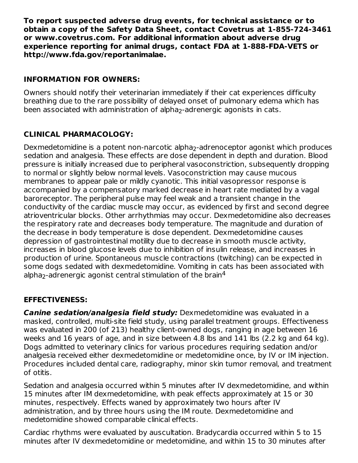**To report suspected adverse drug events, for technical assistance or to obtain a copy of the Safety Data Sheet, contact Covetrus at 1-855-724-3461 or www.covetrus.com. For additional information about adverse drug experience reporting for animal drugs, contact FDA at 1-888-FDA-VETS or http://www.fda.gov/reportanimalae.**

## **INFORMATION FOR OWNERS:**

Owners should notify their veterinarian immediately if their cat experiences difficulty breathing due to the rare possibility of delayed onset of pulmonary edema which has been associated with administration of alpha $_2$ -adrenergic agonists in cats.

# **CLINICAL PHARMACOLOGY:**

Dexmedetomidine is a potent non-narcotic alpha<sub>2</sub>-adrenoceptor agonist which produces sedation and analgesia. These effects are dose dependent in depth and duration. Blood pressure is initially increased due to peripheral vasoconstriction, subsequently dropping to normal or slightly below normal levels. Vasoconstriction may cause mucous membranes to appear pale or mildly cyanotic. This initial vasopressor response is accompanied by a compensatory marked decrease in heart rate mediated by a vagal baroreceptor. The peripheral pulse may feel weak and a transient change in the conductivity of the cardiac muscle may occur, as evidenced by first and second degree atrioventricular blocks. Other arrhythmias may occur. Dexmedetomidine also decreases the respiratory rate and decreases body temperature. The magnitude and duration of the decrease in body temperature is dose dependent. Dexmedetomidine causes depression of gastrointestinal motility due to decrease in smooth muscle activity, increases in blood glucose levels due to inhibition of insulin release, and increases in production of urine. Spontaneous muscle contractions (twitching) can be expected in some dogs sedated with dexmedetomidine. Vomiting in cats has been associated with alpha $_2$ -adrenergic agonist central stimulation of the brain $^4$ 

## **EFFECTIVENESS:**

**Canine sedation/analgesia field study:** Dexmedetomidine was evaluated in a masked, controlled, multi-site field study, using parallel treatment groups. Effectiveness was evaluated in 200 (of 213) healthy client-owned dogs, ranging in age between 16 weeks and 16 years of age, and in size between 4.8 lbs and 141 lbs (2.2 kg and 64 kg). Dogs admitted to veterinary clinics for various procedures requiring sedation and/or analgesia received either dexmedetomidine or medetomidine once, by IV or IM injection. Procedures included dental care, radiography, minor skin tumor removal, and treatment of otitis.

Sedation and analgesia occurred within 5 minutes after IV dexmedetomidine, and within 15 minutes after IM dexmedetomidine, with peak effects approximately at 15 or 30 minutes, respectively. Effects waned by approximately two hours after IV administration, and by three hours using the IM route. Dexmedetomidine and medetomidine showed comparable clinical effects.

Cardiac rhythms were evaluated by auscultation. Bradycardia occurred within 5 to 15 minutes after IV dexmedetomidine or medetomidine, and within 15 to 30 minutes after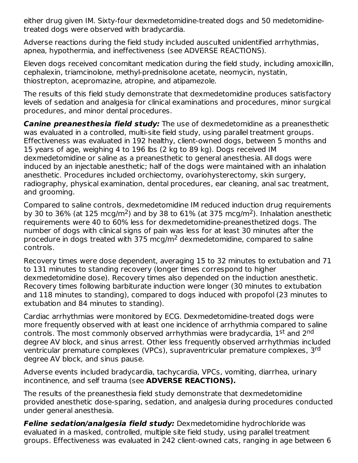either drug given IM. Sixty-four dexmedetomidine-treated dogs and 50 medetomidinetreated dogs were observed with bradycardia.

Adverse reactions during the field study included ausculted unidentified arrhythmias, apnea, hypothermia, and ineffectiveness (see ADVERSE REACTIONS).

Eleven dogs received concomitant medication during the field study, including amoxicillin, cephalexin, triamcinolone, methyl-prednisolone acetate, neomycin, nystatin, thiostrepton, acepromazine, atropine, and atipamezole.

The results of this field study demonstrate that dexmedetomidine produces satisfactory levels of sedation and analgesia for clinical examinations and procedures, minor surgical procedures, and minor dental procedures.

**Canine preanesthesia field study:** The use of dexmedetomidine as a preanesthetic was evaluated in a controlled, multi-site field study, using parallel treatment groups. Effectiveness was evaluated in 192 healthy, client-owned dogs, between 5 months and 15 years of age, weighing 4 to 196 lbs (2 kg to 89 kg). Dogs received IM dexmedetomidine or saline as a preanesthetic to general anesthesia. All dogs were induced by an injectable anesthetic; half of the dogs were maintained with an inhalation anesthetic. Procedures included orchiectomy, ovariohysterectomy, skin surgery, radiography, physical examination, dental procedures, ear cleaning, anal sac treatment, and grooming.

Compared to saline controls, dexmedetomidine IM reduced induction drug requirements by 30 to 36% (at 125 mcg/m<sup>2</sup>) and by 38 to 61% (at 375 mcg/m<sup>2</sup>). Inhalation anesthetic requirements were 40 to 60% less for dexmedetomidine-preanesthetized dogs. The number of dogs with clinical signs of pain was less for at least 30 minutes after the procedure in dogs treated with 375 mcg/m<sup>2</sup> dexmedetomidine, compared to saline controls.

Recovery times were dose dependent, averaging 15 to 32 minutes to extubation and 71 to 131 minutes to standing recovery (longer times correspond to higher dexmedetomidine dose). Recovery times also depended on the induction anesthetic. Recovery times following barbiturate induction were longer (30 minutes to extubation and 118 minutes to standing), compared to dogs induced with propofol (23 minutes to extubation and 84 minutes to standing).

Cardiac arrhythmias were monitored by ECG. Dexmedetomidine-treated dogs were more frequently observed with at least one incidence of arrhythmia compared to saline controls. The most commonly observed arrhythmias were bradycardia, 1st and 2<sup>nd</sup> degree AV block, and sinus arrest. Other less frequently observed arrhythmias included ventricular premature complexes (VPCs), supraventricular premature complexes, 3rd degree AV block, and sinus pause.

Adverse events included bradycardia, tachycardia, VPCs, vomiting, diarrhea, urinary incontinence, and self trauma (see **ADVERSE REACTIONS).**

The results of the preanesthesia field study demonstrate that dexmedetomidine provided anesthetic dose-sparing, sedation, and analgesia during procedures conducted under general anesthesia.

**Feline sedation/analgesia field study:** Dexmedetomidine hydrochloride was evaluated in a masked, controlled, multiple site field study, using parallel treatment groups. Effectiveness was evaluated in 242 client-owned cats, ranging in age between 6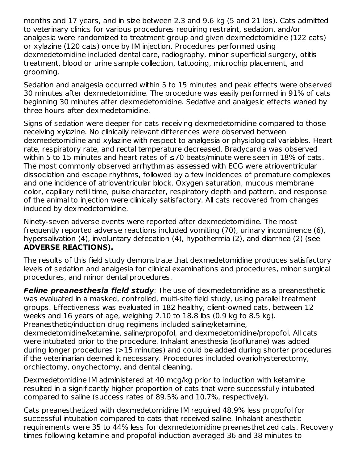months and 17 years, and in size between 2.3 and 9.6 kg (5 and 21 lbs). Cats admitted to veterinary clinics for various procedures requiring restraint, sedation, and/or analgesia were randomized to treatment group and given dexmedetomidine (122 cats) or xylazine (120 cats) once by IM injection. Procedures performed using dexmedetomidine included dental care, radiography, minor superficial surgery, otitis treatment, blood or urine sample collection, tattooing, microchip placement, and grooming.

Sedation and analgesia occurred within 5 to 15 minutes and peak effects were observed 30 minutes after dexmedetomidine. The procedure was easily performed in 91% of cats beginning 30 minutes after dexmedetomidine. Sedative and analgesic effects waned by three hours after dexmedetomidine.

Signs of sedation were deeper for cats receiving dexmedetomidine compared to those receiving xylazine. No clinically relevant differences were observed between dexmedetomidine and xylazine with respect to analgesia or physiological variables. Heart rate, respiratory rate, and rectal temperature decreased. Bradycardia was observed within 5 to 15 minutes and heart rates of ≤70 beats/minute were seen in 18% of cats. The most commonly observed arrhythmias assessed with ECG were atrioventricular dissociation and escape rhythms, followed by a few incidences of premature complexes and one incidence of atrioventricular block. Oxygen saturation, mucous membrane color, capillary refill time, pulse character, respiratory depth and pattern, and response of the animal to injection were clinically satisfactory. All cats recovered from changes induced by dexmedetomidine.

Ninety-seven adverse events were reported after dexmedetomidine. The most frequently reported adverse reactions included vomiting (70), urinary incontinence (6), hypersalivation (4), involuntary defecation (4), hypothermia (2), and diarrhea (2) (see **ADVERSE REACTIONS).**

The results of this field study demonstrate that dexmedetomidine produces satisfactory levels of sedation and analgesia for clinical examinations and procedures, minor surgical procedures, and minor dental procedures.

**Feline preanesthesia field study**: The use of dexmedetomidine as a preanesthetic was evaluated in a masked, controlled, multi-site field study, using parallel treatment groups. Effectiveness was evaluated in 182 healthy, client-owned cats, between 12 weeks and 16 years of age, weighing 2.10 to 18.8 lbs (0.9 kg to 8.5 kg). Preanesthetic/induction drug regimens included saline/ketamine, dexmedetomidine/ketamine, saline/propofol, and dexmedetomidine/propofol. All cats were intubated prior to the procedure. Inhalant anesthesia (isoflurane) was added during longer procedures (>15 minutes) and could be added during shorter procedures if the veterinarian deemed it necessary. Procedures included ovariohysterectomy, orchiectomy, onychectomy, and dental cleaning.

Dexmedetomidine IM administered at 40 mcg/kg prior to induction with ketamine resulted in a significantly higher proportion of cats that were successfully intubated compared to saline (success rates of 89.5% and 10.7%, respectively).

Cats preanesthetized with dexmedetomidine IM required 48.9% less propofol for successful intubation compared to cats that received saline. Inhalant anesthetic requirements were 35 to 44% less for dexmedetomidine preanesthetized cats. Recovery times following ketamine and propofol induction averaged 36 and 38 minutes to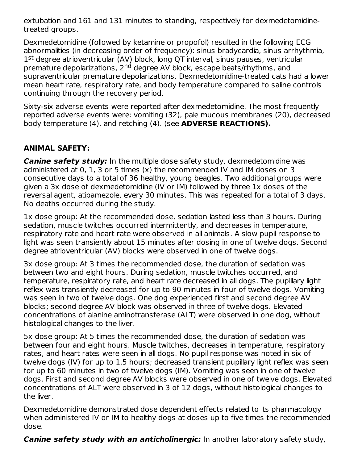extubation and 161 and 131 minutes to standing, respectively for dexmedetomidinetreated groups.

Dexmedetomidine (followed by ketamine or propofol) resulted in the following ECG abnormalities (in decreasing order of frequency): sinus bradycardia, sinus arrhythmia, 1<sup>st</sup> degree atrioventricular (AV) block, long QT interval, sinus pauses, ventricular premature depolarizations, 2<sup>nd</sup> degree AV block, escape beats/rhythms, and supraventricular premature depolarizations. Dexmedetomidine-treated cats had a lower mean heart rate, respiratory rate, and body temperature compared to saline controls continuing through the recovery period.

Sixty-six adverse events were reported after dexmedetomidine. The most frequently reported adverse events were: vomiting (32), pale mucous membranes (20), decreased body temperature (4), and retching (4). (see **ADVERSE REACTIONS).**

## **ANIMAL SAFETY:**

**Canine safety study:** In the multiple dose safety study, dexmedetomidine was administered at 0, 1, 3 or 5 times (x) the recommended IV and IM doses on 3 consecutive days to a total of 36 healthy, young beagles. Two additional groups were given a 3x dose of dexmedetomidine (IV or IM) followed by three 1x doses of the reversal agent, atipamezole, every 30 minutes. This was repeated for a total of 3 days. No deaths occurred during the study.

1x dose group: At the recommended dose, sedation lasted less than 3 hours. During sedation, muscle twitches occurred intermittently, and decreases in temperature, respiratory rate and heart rate were observed in all animals. A slow pupil response to light was seen transiently about 15 minutes after dosing in one of twelve dogs. Second degree atrioventricular (AV) blocks were observed in one of twelve dogs.

3x dose group: At 3 times the recommended dose, the duration of sedation was between two and eight hours. During sedation, muscle twitches occurred, and temperature, respiratory rate, and heart rate decreased in all dogs. The pupillary light reflex was transiently decreased for up to 90 minutes in four of twelve dogs. Vomiting was seen in two of twelve dogs. One dog experienced first and second degree AV blocks; second degree AV block was observed in three of twelve dogs. Elevated concentrations of alanine aminotransferase (ALT) were observed in one dog, without histological changes to the liver.

5x dose group: At 5 times the recommended dose, the duration of sedation was between four and eight hours. Muscle twitches, decreases in temperature, respiratory rates, and heart rates were seen in all dogs. No pupil response was noted in six of twelve dogs (IV) for up to 1.5 hours; decreased transient pupillary light reflex was seen for up to 60 minutes in two of twelve dogs (IM). Vomiting was seen in one of twelve dogs. First and second degree AV blocks were observed in one of twelve dogs. Elevated concentrations of ALT were observed in 3 of 12 dogs, without histological changes to the liver.

Dexmedetomidine demonstrated dose dependent effects related to its pharmacology when administered IV or IM to healthy dogs at doses up to five times the recommended dose.

**Canine safety study with an anticholinergic:** In another laboratory safety study,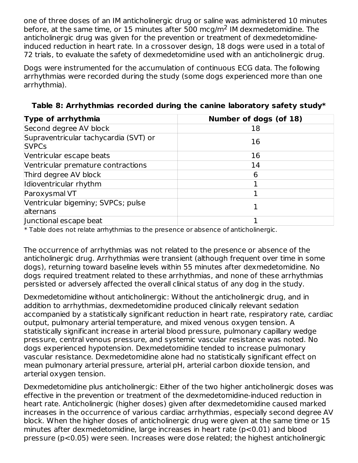one of three doses of an IM anticholinergic drug or saline was administered 10 minutes before, at the same time, or 15 minutes after 500 mcg/m<sup>2</sup> IM dexmedetomidine. The anticholinergic drug was given for the prevention or treatment of dexmedetomidineinduced reduction in heart rate. In a crossover design, 18 dogs were used in a total of 72 trials, to evaluate the safety of dexmedetomidine used with an anticholinergic drug.

Dogs were instrumented for the accumulation of continuous ECG data. The following arrhythmias were recorded during the study (some dogs experienced more than one arrhythmia).

| Type of arrhythmia                                    | Number of dogs (of 18) |
|-------------------------------------------------------|------------------------|
| Second degree AV block                                | 18                     |
| Supraventricular tachycardia (SVT) or<br><b>SVPCs</b> | 16                     |
| Ventricular escape beats                              | 16                     |
| Ventricular premature contractions                    | 14                     |
| Third degree AV block                                 | 6                      |
| Idioventricular rhythm                                |                        |
| Paroxysmal VT                                         |                        |
| Ventricular bigeminy; SVPCs; pulse<br>alternans       |                        |
| Junctional escape beat                                |                        |

**Table 8: Arrhythmias recorded during the canine laboratory safety study\***

\* Table does not relate arrhythmias to the presence or absence of anticholinergic.

The occurrence of arrhythmias was not related to the presence or absence of the anticholinergic drug. Arrhythmias were transient (although frequent over time in some dogs), returning toward baseline levels within 55 minutes after dexmedetomidine. No dogs required treatment related to these arrhythmias, and none of these arrhythmias persisted or adversely affected the overall clinical status of any dog in the study.

Dexmedetomidine without anticholinergic: Without the anticholinergic drug, and in addition to arrhythmias, dexmedetomidine produced clinically relevant sedation accompanied by a statistically significant reduction in heart rate, respiratory rate, cardiac output, pulmonary arterial temperature, and mixed venous oxygen tension. A statistically significant increase in arterial blood pressure, pulmonary capillary wedge pressure, central venous pressure, and systemic vascular resistance was noted. No dogs experienced hypotension. Dexmedetomidine tended to increase pulmonary vascular resistance. Dexmedetomidine alone had no statistically significant effect on mean pulmonary arterial pressure, arterial pH, arterial carbon dioxide tension, and arterial oxygen tension.

Dexmedetomidine plus anticholinergic: Either of the two higher anticholinergic doses was effective in the prevention or treatment of the dexmedetomidine-induced reduction in heart rate. Anticholinergic (higher doses) given after dexmedetomidine caused marked increases in the occurrence of various cardiac arrhythmias, especially second degree AV block. When the higher doses of anticholinergic drug were given at the same time or 15 minutes after dexmedetomidine, large increases in heart rate (p<0.01) and blood pressure (p<0.05) were seen. Increases were dose related; the highest anticholinergic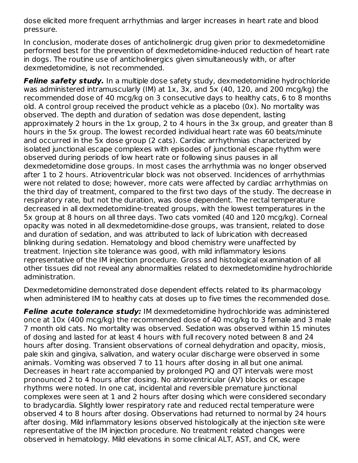dose elicited more frequent arrhythmias and larger increases in heart rate and blood pressure.

In conclusion, moderate doses of anticholinergic drug given prior to dexmedetomidine performed best for the prevention of dexmedetomidine-induced reduction of heart rate in dogs. The routine use of anticholinergics given simultaneously with, or after dexmedetomidine, is not recommended.

**Feline safety study.** In a multiple dose safety study, dexmedetomidine hydrochloride was administered intramuscularly (IM) at 1x, 3x, and 5x (40, 120, and 200 mcg/kg) the recommended dose of 40 mcg/kg on 3 consecutive days to healthy cats, 6 to 8 months old. A control group received the product vehicle as a placebo (0x). No mortality was observed. The depth and duration of sedation was dose dependent, lasting approximately 2 hours in the 1x group, 2 to 4 hours in the 3x group, and greater than 8 hours in the 5x group. The lowest recorded individual heart rate was 60 beats/minute and occurred in the 5x dose group (2 cats). Cardiac arrhythmias characterized by isolated junctional escape complexes with episodes of junctional escape rhythm were observed during periods of low heart rate or following sinus pauses in all dexmedetomidine dose groups. In most cases the arrhythmia was no longer observed after 1 to 2 hours. Atrioventricular block was not observed. Incidences of arrhythmias were not related to dose; however, more cats were affected by cardiac arrhythmias on the third day of treatment, compared to the first two days of the study. The decrease in respiratory rate, but not the duration, was dose dependent. The rectal temperature decreased in all dexmedetomidine-treated groups, with the lowest temperatures in the 5x group at 8 hours on all three days. Two cats vomited (40 and 120 mcg/kg). Corneal opacity was noted in all dexmedetomidine-dose groups, was transient, related to dose and duration of sedation, and was attributed to lack of lubrication with decreased blinking during sedation. Hematology and blood chemistry were unaffected by treatment. Injection site tolerance was good, with mild inflammatory lesions representative of the IM injection procedure. Gross and histological examination of all other tissues did not reveal any abnormalities related to dexmedetomidine hydrochloride administration.

Dexmedetomidine demonstrated dose dependent effects related to its pharmacology when administered IM to healthy cats at doses up to five times the recommended dose.

**Feline acute tolerance study:** IM dexmedetomidine hydrochloride was administered once at 10x (400 mcg/kg) the recommended dose of 40 mcg/kg to 3 female and 3 male 7 month old cats. No mortality was observed. Sedation was observed within 15 minutes of dosing and lasted for at least 4 hours with full recovery noted between 8 and 24 hours after dosing. Transient observations of corneal dehydration and opacity, miosis, pale skin and gingiva, salivation, and watery ocular discharge were observed in some animals. Vomiting was observed 7 to 11 hours after dosing in all but one animal. Decreases in heart rate accompanied by prolonged PQ and QT intervals were most pronounced 2 to 4 hours after dosing. No atrioventricular (AV) blocks or escape rhythms were noted. In one cat, incidental and reversible premature junctional complexes were seen at 1 and 2 hours after dosing which were considered secondary to bradycardia. Slightly lower respiratory rate and reduced rectal temperature were observed 4 to 8 hours after dosing. Observations had returned to normal by 24 hours after dosing. Mild inflammatory lesions observed histologically at the injection site were representative of the IM injection procedure. No treatment related changes were observed in hematology. Mild elevations in some clinical ALT, AST, and CK, were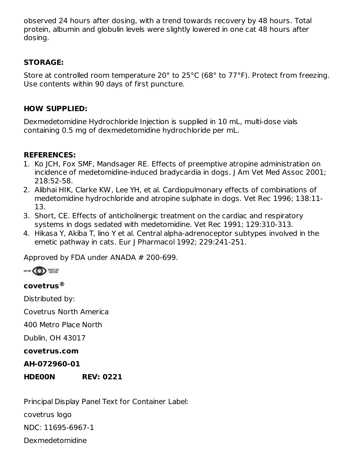observed 24 hours after dosing, with a trend towards recovery by 48 hours. Total protein, albumin and globulin levels were slightly lowered in one cat 48 hours after dosing.

## **STORAGE:**

Store at controlled room temperature 20° to 25°C (68° to 77°F). Protect from freezing. Use contents within 90 days of first puncture.

## **HOW SUPPLIED:**

Dexmedetomidine Hydrochloride Injection is supplied in 10 mL, multi-dose vials containing 0.5 mg of dexmedetomidine hydrochloride per mL.

## **REFERENCES:**

- 1. Ko JCH, Fox SMF, Mandsager RE. Effects of preemptive atropine administration on incidence of medetomidine-induced bradycardia in dogs. J Am Vet Med Assoc 2001; 218:52-58.
- 2. Alibhai HIK, Clarke KW, Lee YH, et al. Cardiopulmonary effects of combinations of medetomidine hydrochloride and atropine sulphate in dogs. Vet Rec 1996; 138:11- 13.
- 3. Short, CE. Effects of anticholinergic treatment on the cardiac and respiratory systems in dogs sedated with medetomidine. Vet Rec 1991; 129:310-313.
- 4. Hikasa Y, Akiba T, lino Y et al. Central alpha-adrenoceptor subtypes involved in the emetic pathway in cats. Eur J Pharmacol 1992; 229:241-251.

Approved by FDA under ANADA # 200-699.



# **covetrus ®**

Distributed by:

Covetrus North America

400 Metro Place North

Dublin, OH 43017

**covetrus.com**

### **AH-072960-01**

## **HDE00N REV: 0221**

Principal Display Panel Text for Container Label: covetrus logo NDC: 11695-6967-1 Dexmedetomidine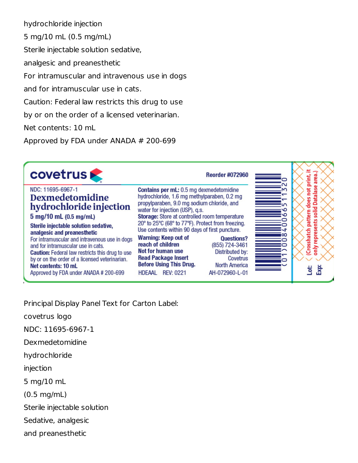hydrochloride injection

5 mg/10 mL (0.5 mg/mL)

Sterile injectable solution sedative,

analgesic and preanesthetic

For intramuscular and intravenous use in dogs

and for intramuscular use in cats.

Caution: Federal law restricts this drug to use

by or on the order of a licensed veterinarian.

Net contents: 10 mL

Approved by FDA under ANADA # 200-699

| <b>covetrus</b>                                                                                                                                                                                                                                                                                | <b>Reorder #072960</b>                                                                                                                                                                                                                                                                                                          | print,<br>area                                             |
|------------------------------------------------------------------------------------------------------------------------------------------------------------------------------------------------------------------------------------------------------------------------------------------------|---------------------------------------------------------------------------------------------------------------------------------------------------------------------------------------------------------------------------------------------------------------------------------------------------------------------------------|------------------------------------------------------------|
| NDC: 11695-6967-1<br><b>Dexmedetomidine</b><br>hydrochloride injection<br>5 mg/10 mL (0.5 mg/mL)<br>Sterile injectable solution sedative,                                                                                                                                                      | Contains per mL: 0.5 mg dexmedetomidine<br>hydrochloride, 1.6 mg methylparaben, 0.2 mg<br>propylparaben, 9.0 mg sodium chloride, and<br>water for injection (USP), q.s.<br>Storage: Store at controlled room temperature<br>20° to 25°C (68° to 77°F). Protect from freezing.<br>Use contents within 90 days of first puncture. | 힡<br>ā<br>ۊ<br>흥<br>듭<br>$\overline{\mathbf{a}}$<br>c<br>€ |
| analgesic and preanesthetic<br>For intramuscular and intravenous use in dogs<br>and for intramuscular use in cats.<br><b>Caution:</b> Federal law restricts this drug to use<br>by or on the order of a licensed veterinarian.<br>Net contents: 10 mL<br>Approved by FDA under ANADA # 200-699 | Warning: Keep out of<br><b>Questions?</b><br>reach of children<br>(855) 724-3461<br><b>Not for human use</b><br>Distributed by:<br><b>Read Package Insert</b><br>Covetrus<br><b>Before Using This Drug.</b><br><b>North America</b><br>AH-072960-L-01<br>HDEAAL REV: 0221                                                       | Crosshat<br>ā<br>only<br>ä                                 |

Principal Display Panel Text for Carton Label:

covetrus logo

NDC: 11695-6967-1

Dexmedetomidine

hydrochloride

injection

5 mg/10 mL

(0.5 mg/mL)

Sterile injectable solution

Sedative, analgesic

and preanesthetic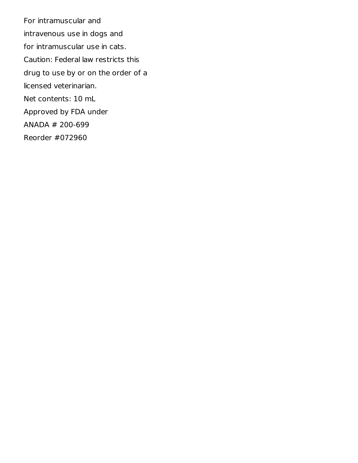For intramuscular and intravenous use in dogs and for intramuscular use in cats. Caution: Federal law restricts this drug to use by or on the order of a licensed veterinarian. Net contents: 10 mL Approved by FDA under ANADA # 200-699 Reorder #072960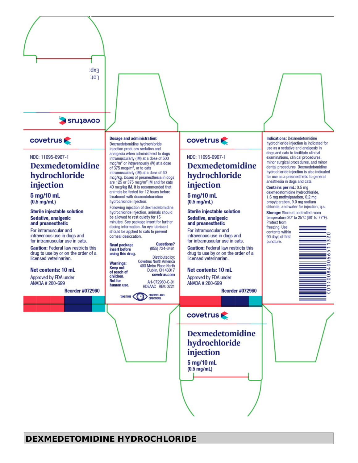

#### **covetrus**

#### NDC: 11695-6967-1

## **Dexmedetomidine** hydrochloride injection

5 mg/10 mL  $(0.5 \text{ mg/mL})$ 

**Sterile injectable solution** Sedative, analgesic and preanesthetic

For intramuscular and intravenous use in dogs and for intramuscular use in cats.

**Caution: Federal law restricts this** drug to use by or on the order of a licensed veterinarian.

#### Net contents: 10 mL

Approved by FDA under ANADA # 200-699

**Reorder #072960** 

#### **Dosage and administration:**

Dexmedetomidine hydrochloride injection produces sedation and analgesia when administered to dogs intramuscularly (IM) at a dose of 500 mcg/m<sup>2</sup> or intravenously (IV) at a dose of 375 mcg/m<sup>2</sup>, or to cats intramuscularly (IM) at a dose of 40 mcg/kg. Doses of preanesthesia in dogs are 125 or 375 mcg/m<sup>2</sup> IM and for cats 40 mcg/kg IM. It is recommended that animals be fasted for 12 hours before treatment with dexmedetomidine hydrochloride injection.

Following injection of dexmedetomidine hydrochloride injection, animals should be allowed to rest quietly for 15 minutes. See package insert for further dosing information. An eye lubricant should be applied to cats to prevent corneal desiccation.



of reach of

human use.

children.

**Not for** 

**Covetrus North America** 400 Metro Place North Dublin, OH 43017 covetrus.com AH-072960-C-01 HDEAAC REV: 0221

OBSERVE LABEL TAKE TIME (

#### **covetrus**

#### NDC: 11695-6967-1

## **Dexmedetomidine** hydrochloride injection

5 mg/10 mL  $(0.5 \text{ mg/mL})$ 

**Sterile injectable solution** Sedative, analgesic and preanesthetic

For intramuscular and intravenous use in dogs and for intramuscular use in cats.

**Caution: Federal law restricts this** drug to use by or on the order of a licensed veterinarian.

#### Net contents: 10 mL

Approved by FDA under ANADA # 200-699

**Reorder #072960** 

#### **covetrus**

## **Dexmedetomidine** hydrochloride injection

5 mg/10 mL  $(0.5 \text{ mg/mL})$ 

#### **Indications: Dexmedetomidine** hydrochloride injection is indicated for use as a sedative and analgesic in dogs and cats to facilitate clinical examinations, clinical procedures, minor surgical procedures, and minor dental procedures. Dexmedetomidine hydrochloride injection is also indicated for use as a preanesthetic to general anesthesia in dogs and cats.

Contains per mL: 0.5 mg dexmedetomidine hydrochloride, 1.6 mg methylparaben, 0.2 mg propylparaben, 9.0 mg sodium chloride, and water for injection, q.s.

Storage: Store at controlled room temperature 20° to 25°C (68° to 77°F). Protect from

freezing. Use contents within 90 days of first puncture.



**DEXMEDETOMIDINE HYDROCHLORIDE**